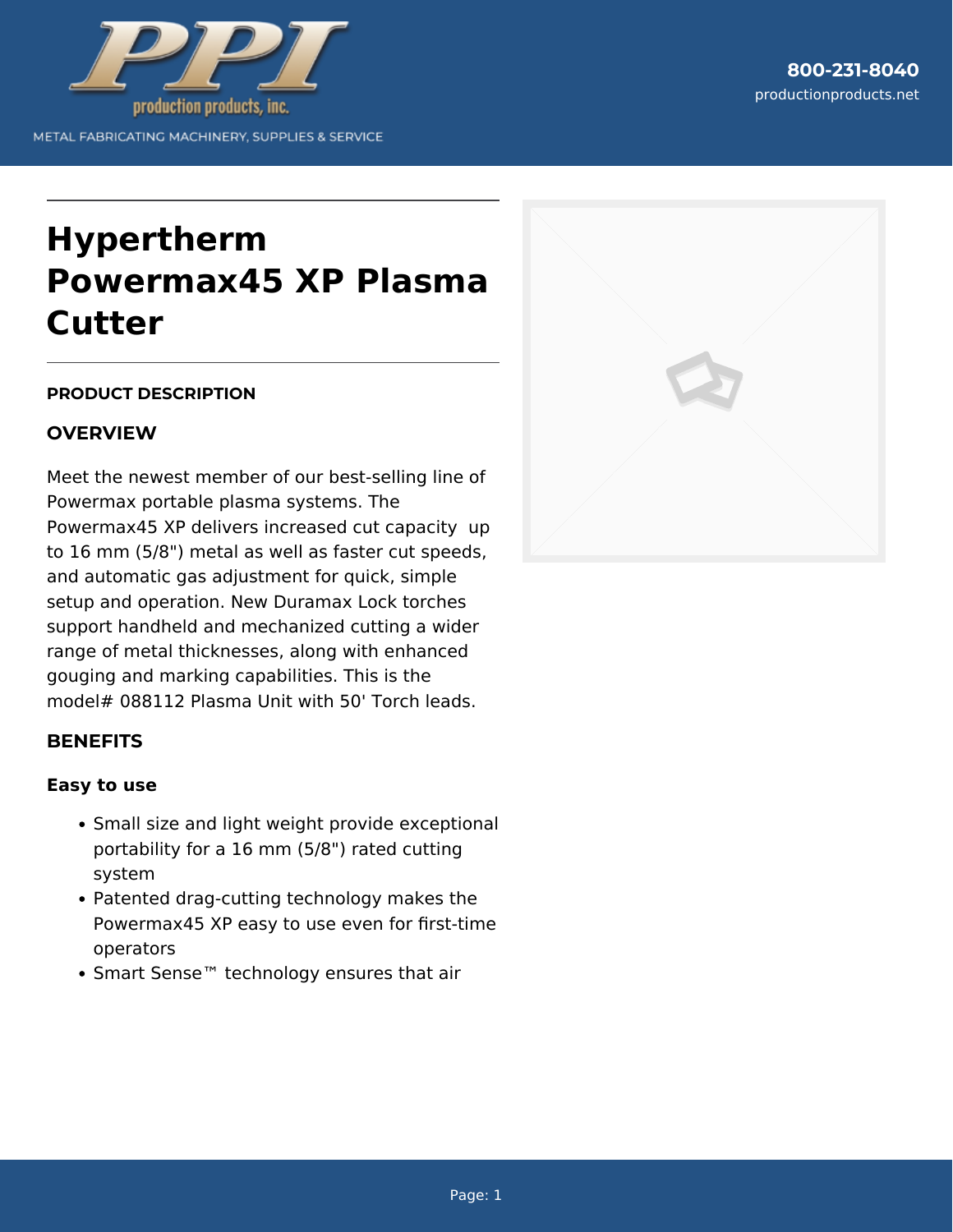

# **Hypertherm Powermax45 XP Plasma Cutter**

#### **PRODUCT DESCRIPTION**

# **OVERVIEW**

Meet the newest member of our best-selling line of Powermax portable plasma systems. The Powermax45 XP delivers increased cut capacity up to 16 mm (5/8") metal as well as faster cut speeds, and automatic gas adjustment for quick, simple setup and operation. New Duramax Lock torches support handheld and mechanized cutting a wider range of metal thicknesses, along with enhanced gouging and marking capabilities. This is the model# 088112 Plasma Unit with 50' Torch leads.

# **BENEFITS**

#### **Easy to use**

- Small size and light weight provide exceptional portability for a 16 mm (5/8") rated cutting system
- Patented drag-cutting technology makes the Powermax45 XP easy to use even for first-time operators
- Smart Sense™ technology ensures that air

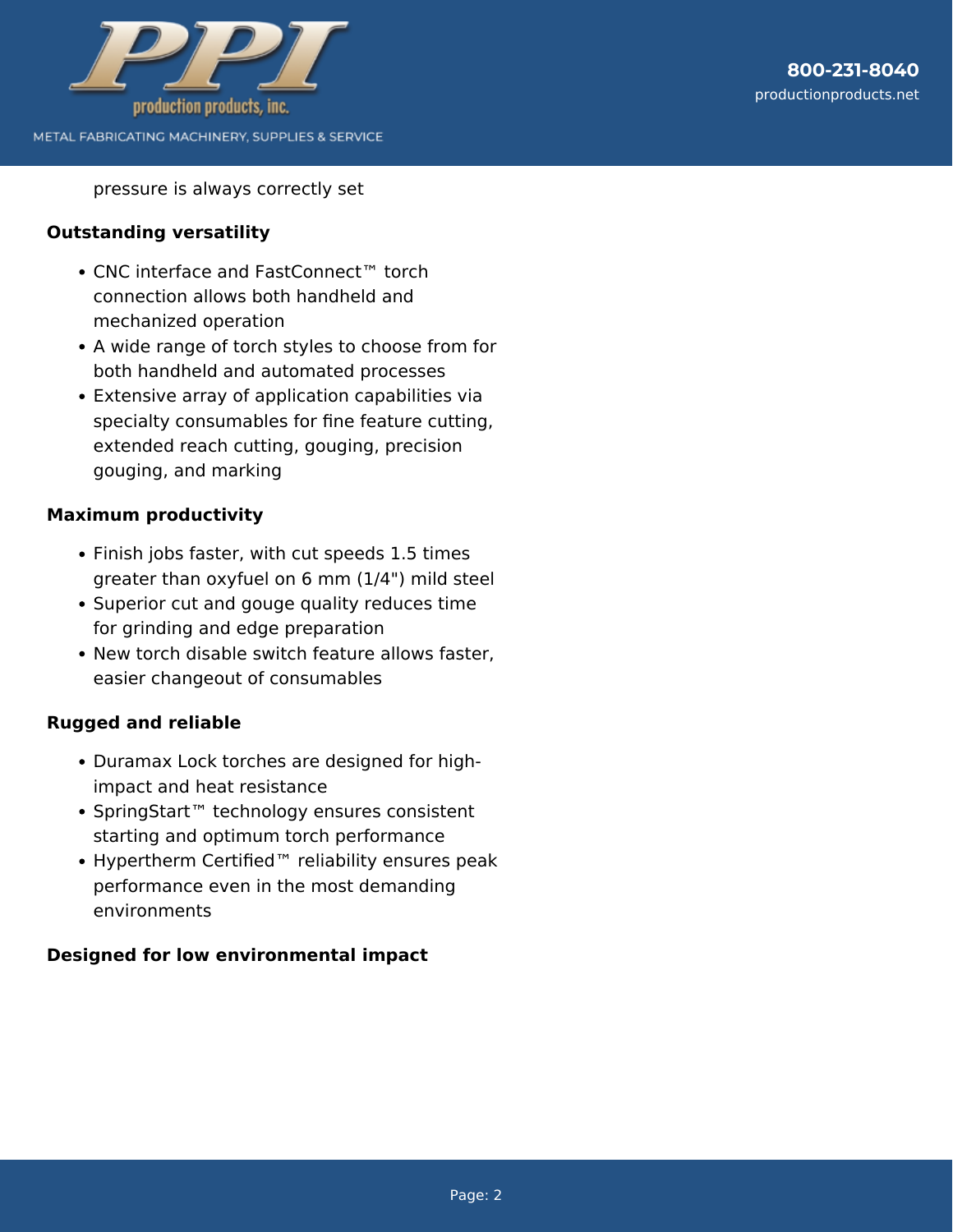

pressure is always correctly set

#### **Outstanding versatility**

- CNC interface and FastConnect™ torch connection allows both handheld and mechanized operation
- A wide range of torch styles to choose from for both handheld and automated processes
- Extensive array of application capabilities via specialty consumables for fine feature cutting, extended reach cutting, gouging, precision gouging, and marking

### **Maximum productivity**

- Finish jobs faster, with cut speeds 1.5 times greater than oxyfuel on 6 mm (1/4") mild steel
- Superior cut and gouge quality reduces time for grinding and edge preparation
- New torch disable switch feature allows faster, easier changeout of consumables

# **Rugged and reliable**

- Duramax Lock torches are designed for highimpact and heat resistance
- SpringStart™ technology ensures consistent starting and optimum torch performance
- Hypertherm Certified™ reliability ensures peak performance even in the most demanding environments

# **Designed for low environmental impact**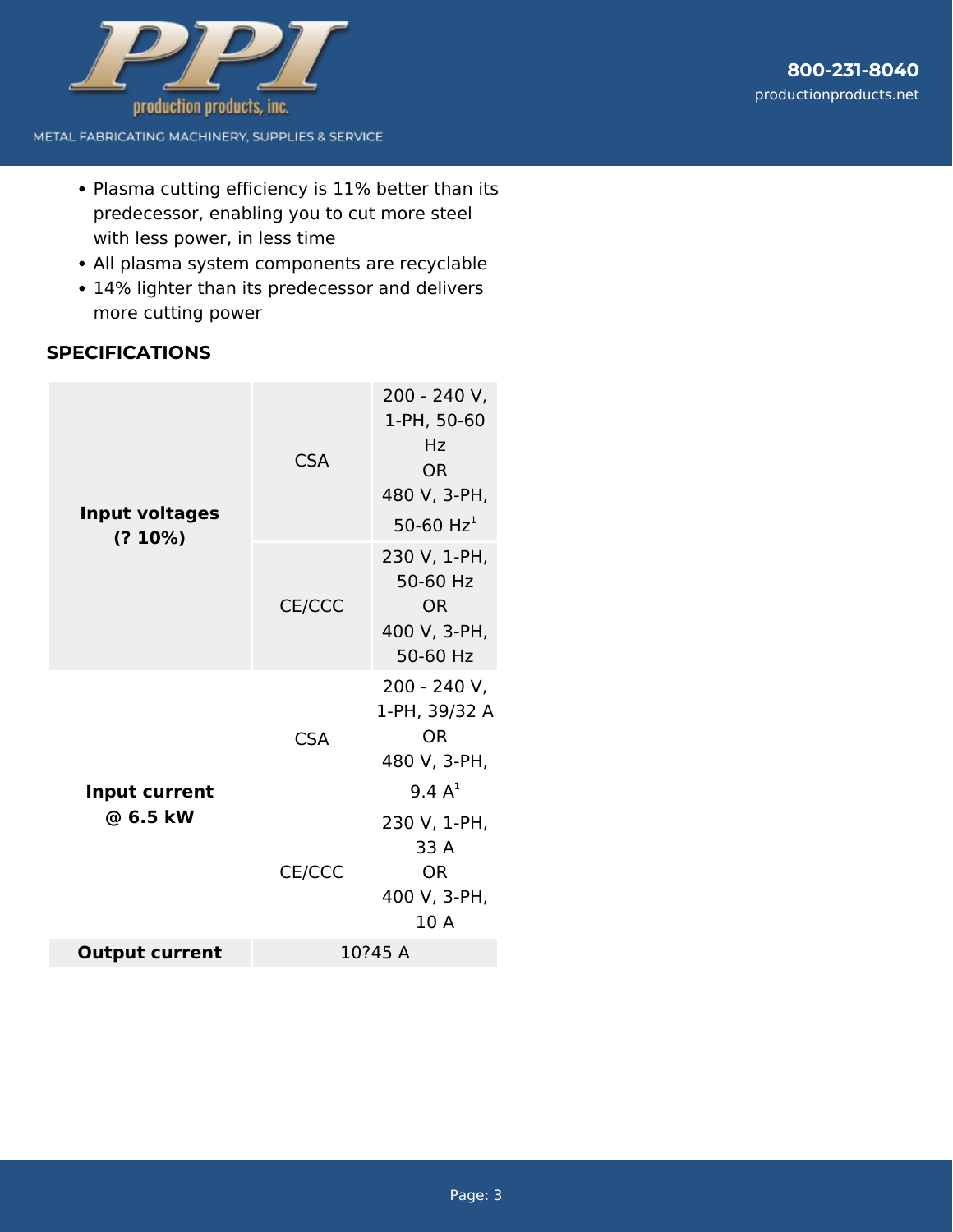

- Plasma cutting efficiency is 11% better than its predecessor, enabling you to cut more steel with less power, in less time
- All plasma system components are recyclable
- 14% lighter than its predecessor and delivers more cutting power

# **SPECIFICATIONS**

| <b>Input voltages</b><br>$(? 10\%)$ | <b>CSA</b><br>CE/CCC | 200 - 240 V,<br>1-PH, 50-60<br>Hz<br>OR.<br>480 V, 3-PH,<br>50-60 $Hz1$<br>230 V, 1-PH,<br>50-60 Hz<br><b>OR</b><br>400 V, 3-PH,<br>50-60 Hz |
|-------------------------------------|----------------------|----------------------------------------------------------------------------------------------------------------------------------------------|
| Input current<br>@ 6.5 kW           | <b>CSA</b><br>CE/CCC | 200 - 240 V,<br>1-PH, 39/32 A<br>0R<br>480 V, 3-PH,<br>9.4 $A^1$<br>230 V, 1-PH,<br>33 A<br><b>OR</b><br>400 V, 3-PH,<br>10 A                |
| <b>Output current</b>               | 10?45 A              |                                                                                                                                              |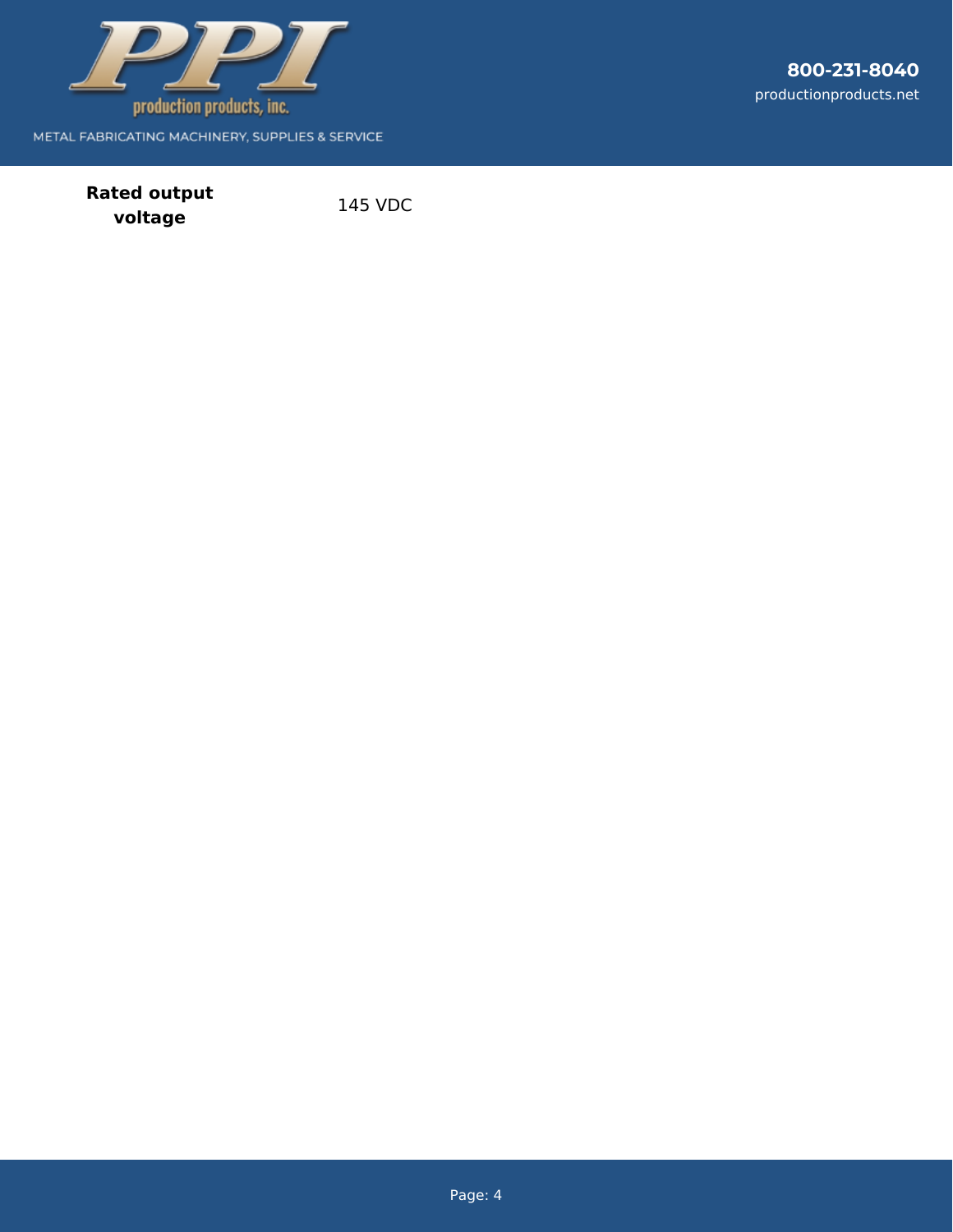

**800-231-8040** productionproducts.net

**Rated output voltage** 145 VDC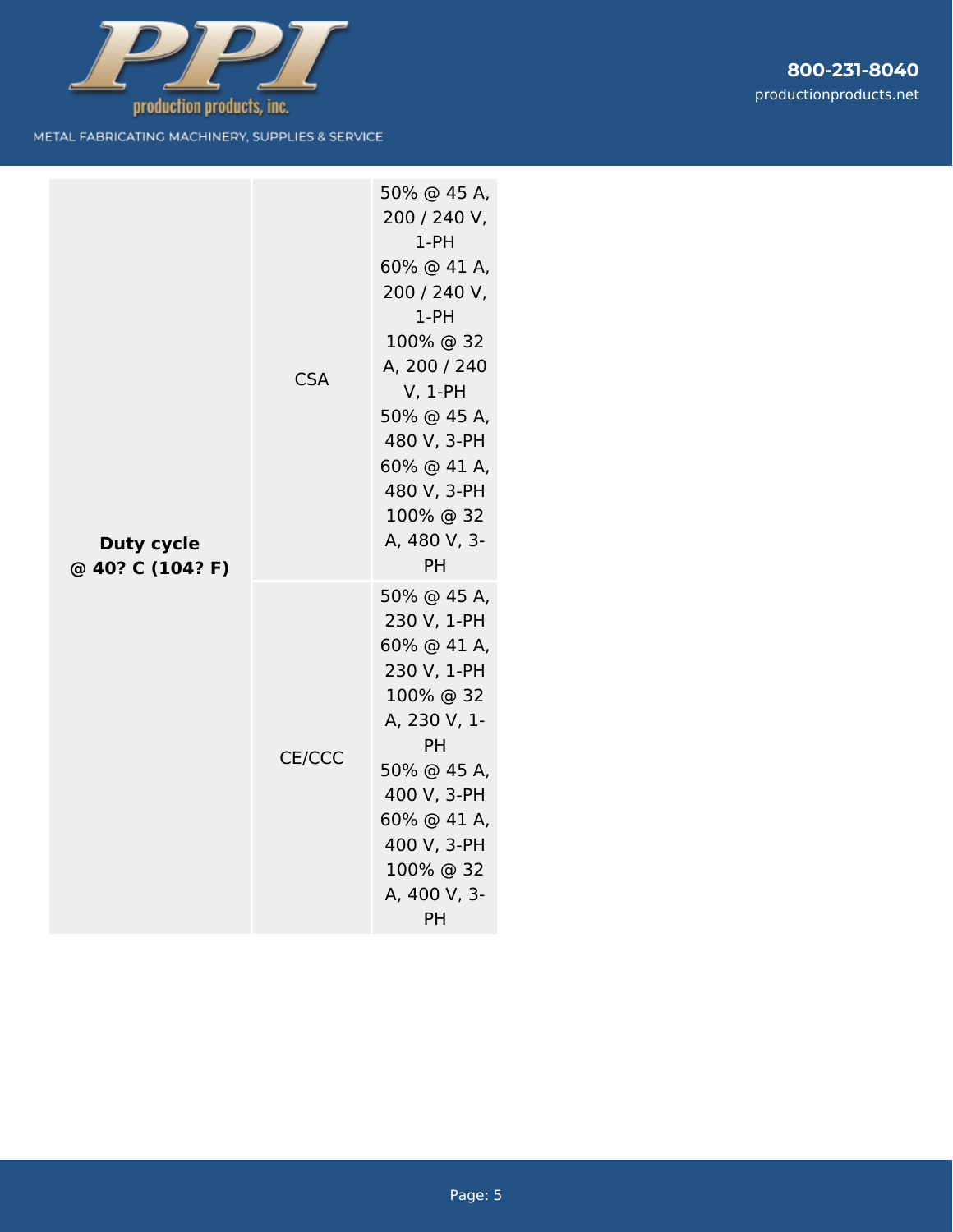

| <b>Duty cycle</b><br>@ 40? C (104? F) | <b>CSA</b> | 50% @ 45 A,<br>200 / 240 V,<br>$1-PH$<br>60% @ 41 A,<br>200 / 240 V,<br>$1-PH$<br>100% @ 32<br>A, 200 / 240<br>$V, 1-PH$<br>50% @ 45 A,<br>480 V, 3-PH<br>60% @ 41 A,<br>480 V, 3-PH<br>100% @ 32<br>A, 480 V, 3-<br>PH |
|---------------------------------------|------------|-------------------------------------------------------------------------------------------------------------------------------------------------------------------------------------------------------------------------|
|                                       | CE/CCC     | 50% @ 45 A,<br>230 V, 1-PH<br>60% @ 41 A,<br>230 V, 1-PH<br>100% @ 32<br>A, 230 V, 1-<br><b>PH</b><br>50% @ 45 A,<br>400 V, 3-PH<br>60% @ 41 A,<br>400 V, 3-PH<br>100% @ 32<br>A, 400 V, 3-<br>PH                       |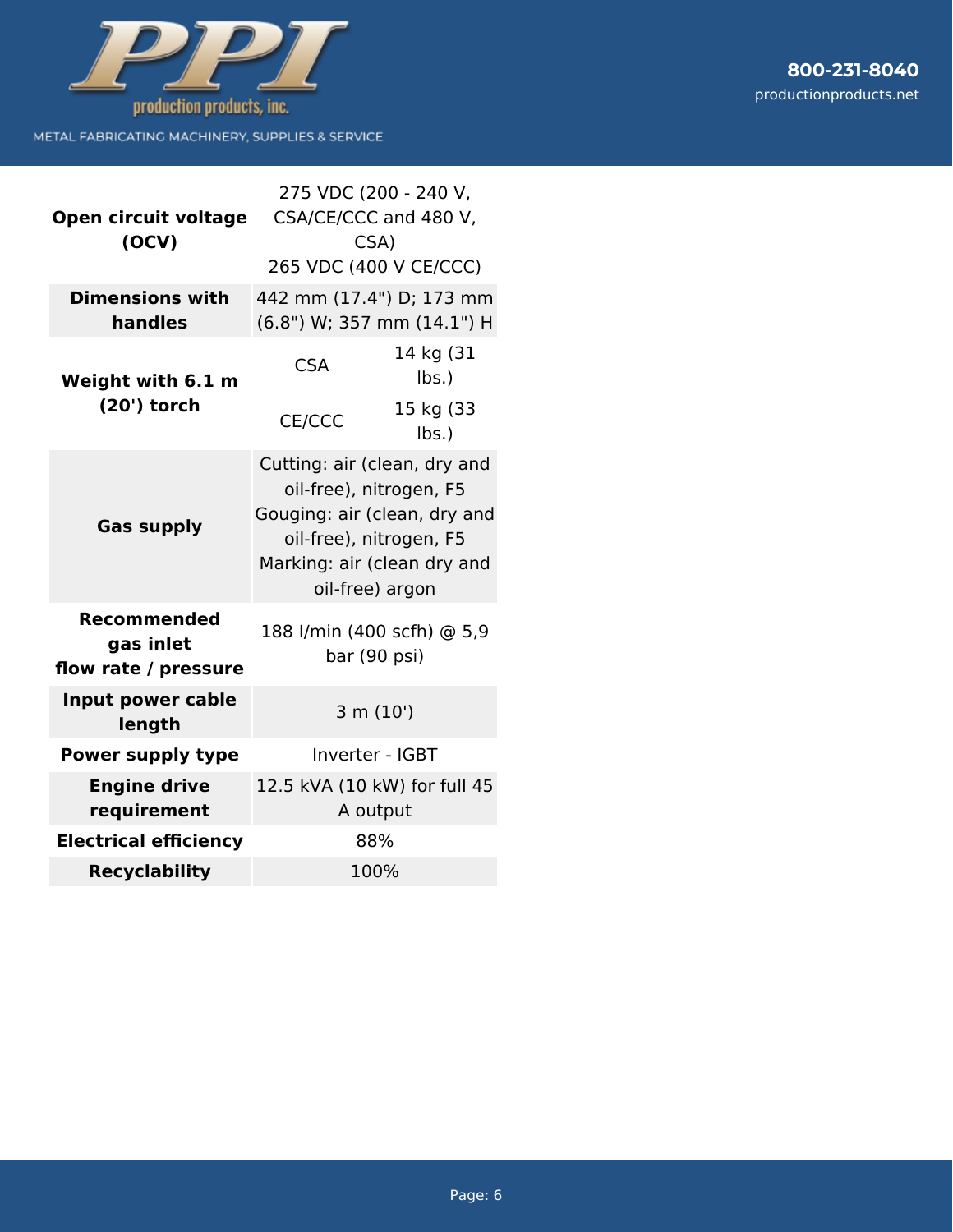

| 800-231-8040           |
|------------------------|
| productionproducts.net |
|                        |
|                        |

| Open circuit voltage                                    | 275 VDC (200 - 240 V,<br>CSA/CE/CCC and 480 V,                                                                                                                       |  |
|---------------------------------------------------------|----------------------------------------------------------------------------------------------------------------------------------------------------------------------|--|
| (OCV)                                                   | CSA)<br>265 VDC (400 V CE/CCC)                                                                                                                                       |  |
| <b>Dimensions with</b><br>handles                       | 442 mm (17.4") D; 173 mm<br>(6.8") W; 357 mm (14.1") H                                                                                                               |  |
| Weight with 6.1 m<br>(20') torch                        | 14 kg (31<br><b>CSA</b><br>lbs.                                                                                                                                      |  |
|                                                         | 15 kg (33<br>CE/CCC<br>$lbs.$ )                                                                                                                                      |  |
| <b>Gas supply</b>                                       | Cutting: air (clean, dry and<br>oil-free), nitrogen, F5<br>Gouging: air (clean, dry and<br>oil-free), nitrogen, F5<br>Marking: air (clean dry and<br>oil-free) argon |  |
| <b>Recommended</b><br>gas inlet<br>flow rate / pressure | 188 I/min (400 scfh) @ 5,9<br>bar (90 psi)                                                                                                                           |  |
| Input power cable<br>length                             | 3 m (10')                                                                                                                                                            |  |
| <b>Power supply type</b>                                | Inverter - IGBT                                                                                                                                                      |  |
| <b>Engine drive</b><br>requirement                      | 12.5 kVA (10 kW) for full 45<br>A output                                                                                                                             |  |
| <b>Electrical efficiency</b>                            | 88%                                                                                                                                                                  |  |
| <b>Recyclability</b>                                    | 100%                                                                                                                                                                 |  |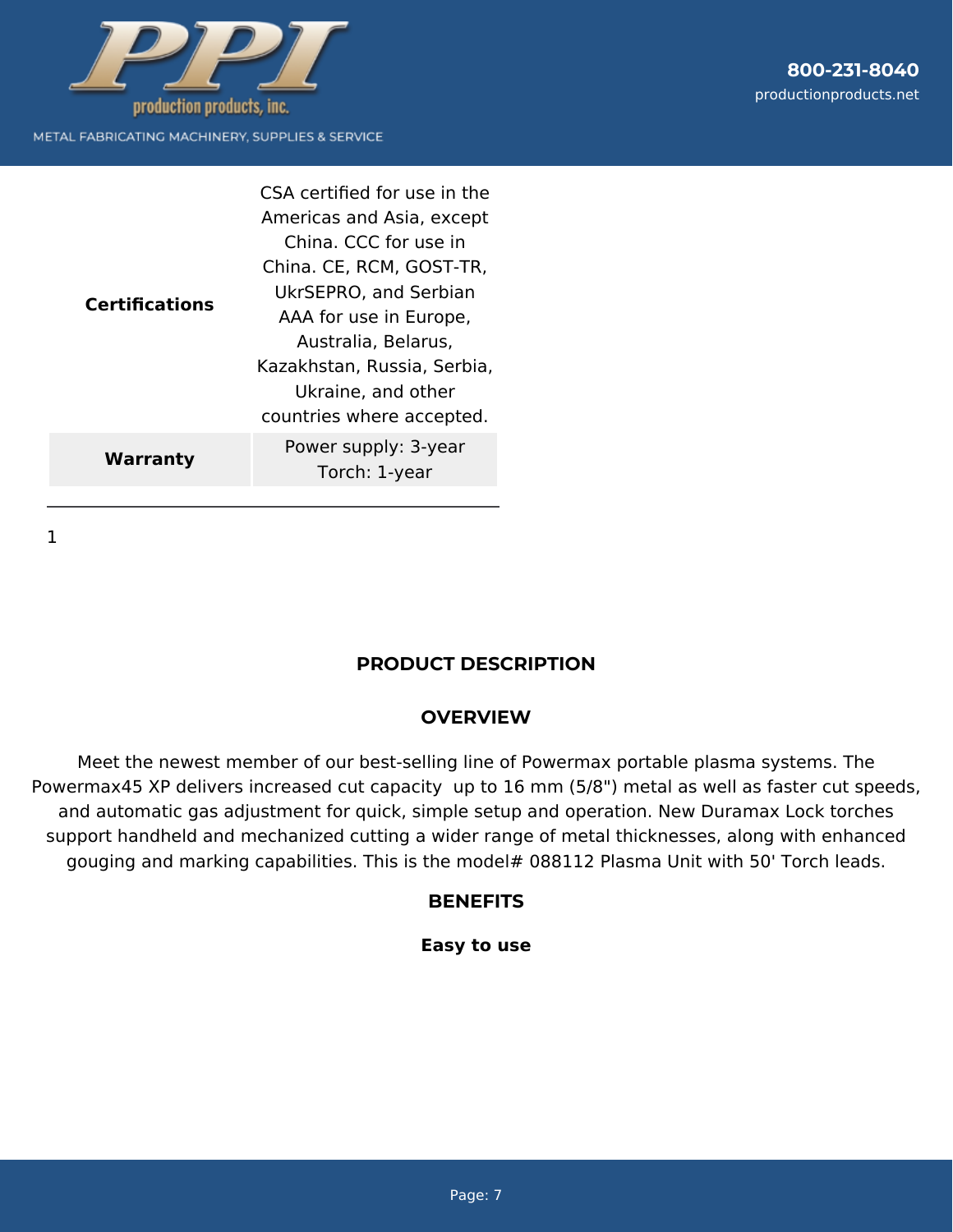

| <b>Certifications</b> | CSA certified for use in the<br>Americas and Asia, except<br>China. CCC for use in<br>China. CE, RCM, GOST-TR,<br>UkrSEPRO, and Serbian<br>AAA for use in Europe,<br>Australia, Belarus,<br>Kazakhstan, Russia, Serbia,<br>Ukraine, and other<br>countries where accepted. |
|-----------------------|----------------------------------------------------------------------------------------------------------------------------------------------------------------------------------------------------------------------------------------------------------------------------|
| Warranty              | Power supply: 3-year<br>Torch: 1-year                                                                                                                                                                                                                                      |

1

# **PRODUCT DESCRIPTION**

### **OVERVIEW**

Meet the newest member of our best-selling line of Powermax portable plasma systems. The Powermax45 XP delivers increased cut capacity up to 16 mm (5/8") metal as well as faster cut speeds, and automatic gas adjustment for quick, simple setup and operation. New Duramax Lock torches support handheld and mechanized cutting a wider range of metal thicknesses, along with enhanced gouging and marking capabilities. This is the model# 088112 Plasma Unit with 50' Torch leads.

#### **BENEFITS**

#### **Easy to use**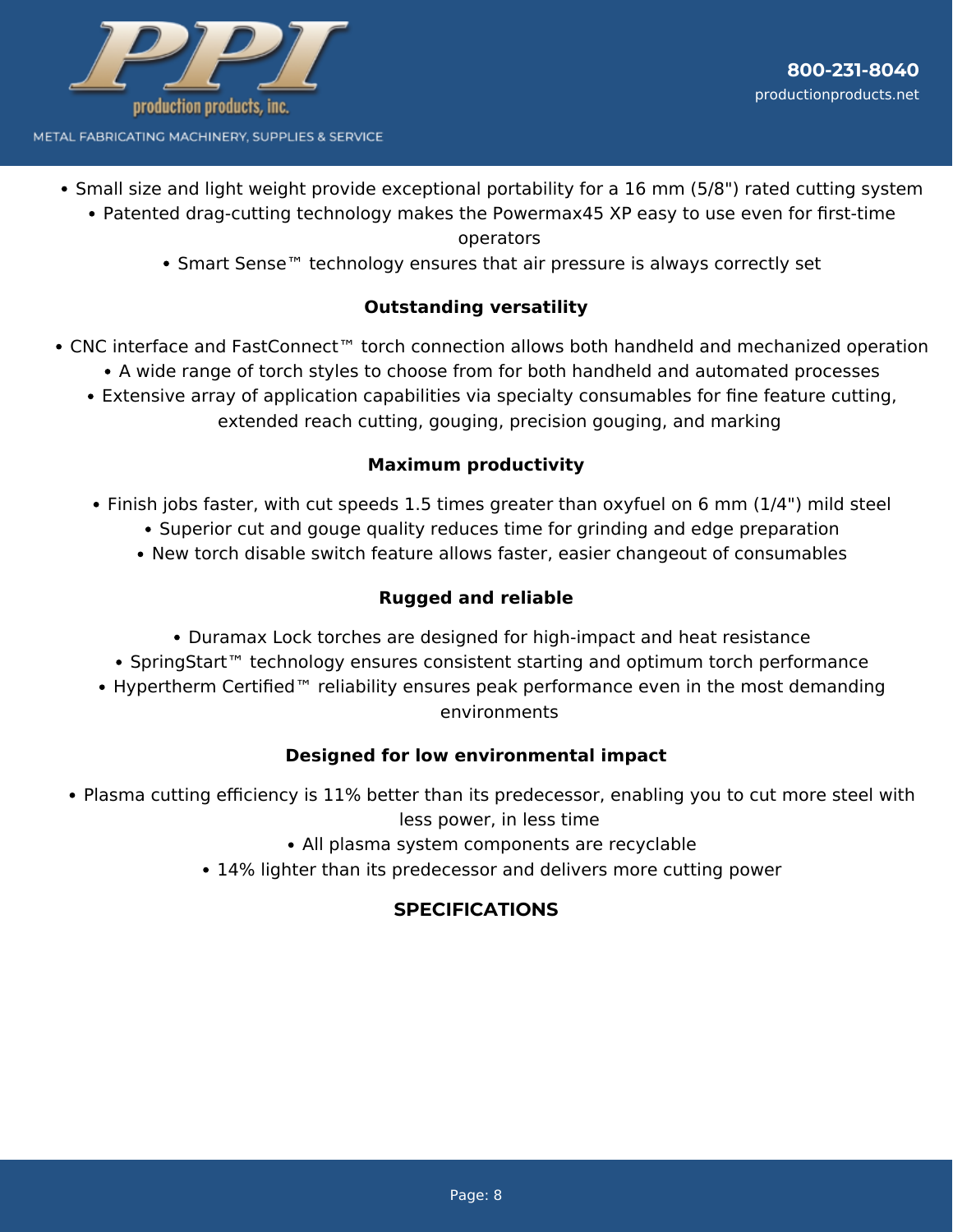

- Small size and light weight provide exceptional portability for a 16 mm (5/8") rated cutting system
	- Patented drag-cutting technology makes the Powermax45 XP easy to use even for first-time

#### operators

• Smart Sense<sup>™</sup> technology ensures that air pressure is always correctly set

## **Outstanding versatility**

- CNC interface and FastConnect™ torch connection allows both handheld and mechanized operation
	- A wide range of torch styles to choose from for both handheld and automated processes
	- Extensive array of application capabilities via specialty consumables for fine feature cutting, extended reach cutting, gouging, precision gouging, and marking

### **Maximum productivity**

- Finish jobs faster, with cut speeds 1.5 times greater than oxyfuel on 6 mm (1/4") mild steel
	- Superior cut and gouge quality reduces time for grinding and edge preparation
	- New torch disable switch feature allows faster, easier changeout of consumables

# **Rugged and reliable**

- Duramax Lock torches are designed for high-impact and heat resistance
- SpringStart™ technology ensures consistent starting and optimum torch performance
- Hypertherm Certified™ reliability ensures peak performance even in the most demanding environments

#### **Designed for low environmental impact**

- Plasma cutting efficiency is 11% better than its predecessor, enabling you to cut more steel with less power, in less time
	- All plasma system components are recyclable
	- 14% lighter than its predecessor and delivers more cutting power

# **SPECIFICATIONS**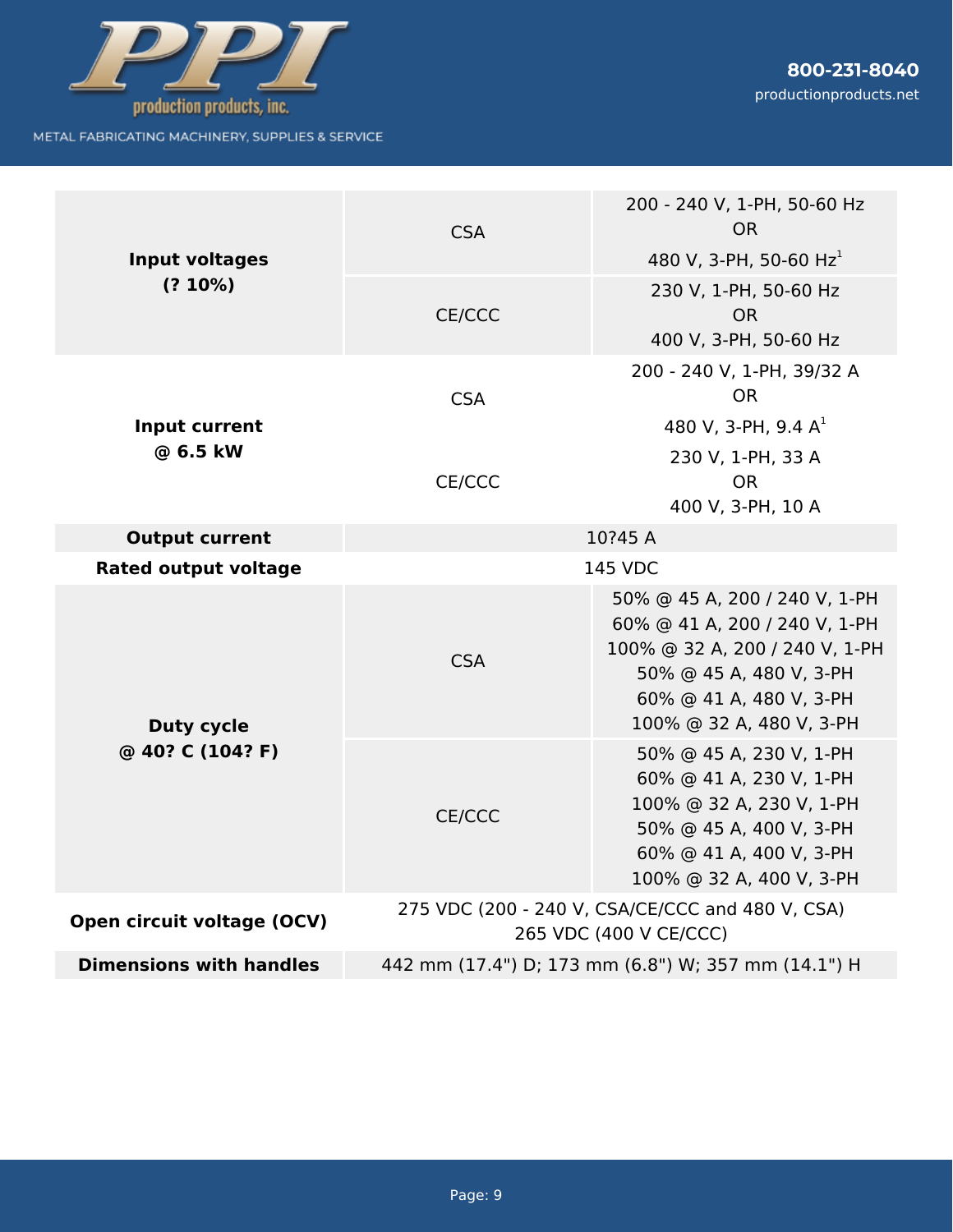

| <b>Input voltages</b><br>$(? 10\%)$ | <b>CSA</b>                                                                 | 200 - 240 V, 1-PH, 50-60 Hz<br><b>OR</b><br>480 V, 3-PH, 50-60 $Hz1$                                                                                                               |
|-------------------------------------|----------------------------------------------------------------------------|------------------------------------------------------------------------------------------------------------------------------------------------------------------------------------|
|                                     | CE/CCC                                                                     | 230 V, 1-PH, 50-60 Hz<br><b>OR</b><br>400 V, 3-PH, 50-60 Hz                                                                                                                        |
| Input current                       | <b>CSA</b>                                                                 | 200 - 240 V, 1-PH, 39/32 A<br><b>OR</b><br>480 V, 3-PH, 9.4 $A^1$                                                                                                                  |
| @ 6.5 kW                            | CE/CCC                                                                     | 230 V, 1-PH, 33 A<br><b>OR</b><br>400 V, 3-PH, 10 A                                                                                                                                |
| <b>Output current</b>               | 10?45 A                                                                    |                                                                                                                                                                                    |
| <b>Rated output voltage</b>         | <b>145 VDC</b>                                                             |                                                                                                                                                                                    |
| <b>Duty cycle</b>                   | <b>CSA</b>                                                                 | 50% @ 45 A, 200 / 240 V, 1-PH<br>60% @ 41 A, 200 / 240 V, 1-PH<br>100% @ 32 A, 200 / 240 V, 1-PH<br>50% @ 45 A, 480 V, 3-PH<br>60% @ 41 A, 480 V, 3-PH<br>100% @ 32 A, 480 V, 3-PH |
| @ 40? C (104? F)                    | CE/CCC                                                                     | 50% @ 45 A, 230 V, 1-PH<br>60% @ 41 A, 230 V, 1-PH<br>100% @ 32 A, 230 V, 1-PH<br>50% @ 45 A, 400 V, 3-PH<br>60% @ 41 A, 400 V, 3-PH<br>100% @ 32 A, 400 V, 3-PH                   |
| Open circuit voltage (OCV)          | 275 VDC (200 - 240 V, CSA/CE/CCC and 480 V, CSA)<br>265 VDC (400 V CE/CCC) |                                                                                                                                                                                    |
| <b>Dimensions with handles</b>      | 442 mm (17.4") D; 173 mm (6.8") W; 357 mm (14.1") H                        |                                                                                                                                                                                    |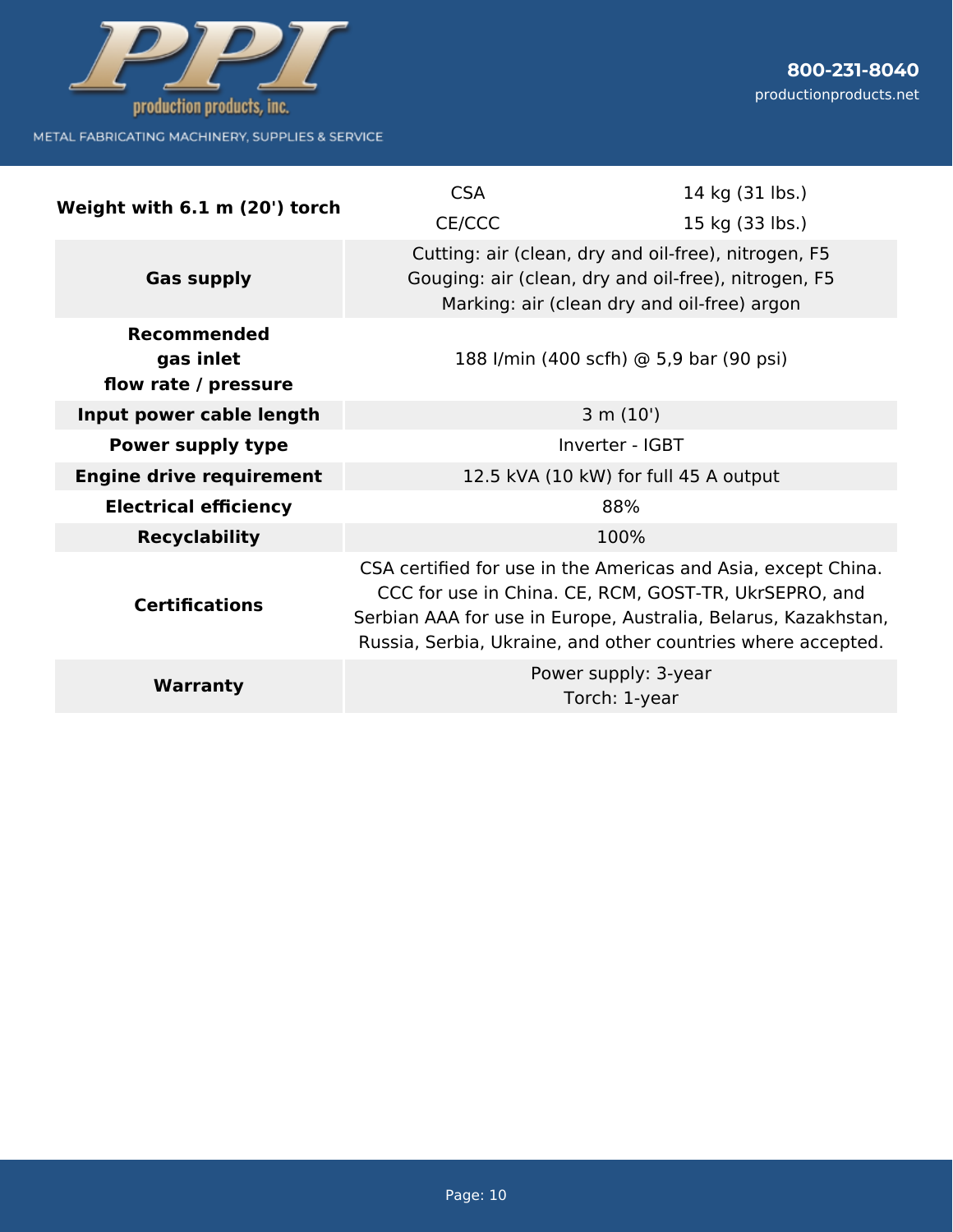

| Weight with 6.1 m (20') torch                           | <b>CSA</b><br>CE/CCC                                                                                                                                        | 14 kg (31 lbs.)<br>15 kg (33 lbs.)                                                                                                                                                                                                                       |
|---------------------------------------------------------|-------------------------------------------------------------------------------------------------------------------------------------------------------------|----------------------------------------------------------------------------------------------------------------------------------------------------------------------------------------------------------------------------------------------------------|
| <b>Gas supply</b>                                       | Cutting: air (clean, dry and oil-free), nitrogen, F5<br>Gouging: air (clean, dry and oil-free), nitrogen, F5<br>Marking: air (clean dry and oil-free) argon |                                                                                                                                                                                                                                                          |
| <b>Recommended</b><br>gas inlet<br>flow rate / pressure |                                                                                                                                                             | 188 I/min (400 scfh) @ 5,9 bar (90 psi)                                                                                                                                                                                                                  |
| Input power cable length                                | 3 m (10')                                                                                                                                                   |                                                                                                                                                                                                                                                          |
| <b>Power supply type</b>                                | Inverter - IGBT                                                                                                                                             |                                                                                                                                                                                                                                                          |
| <b>Engine drive requirement</b>                         | 12.5 kVA (10 kW) for full 45 A output                                                                                                                       |                                                                                                                                                                                                                                                          |
| <b>Electrical efficiency</b>                            | 88%                                                                                                                                                         |                                                                                                                                                                                                                                                          |
| <b>Recyclability</b>                                    |                                                                                                                                                             | 100%                                                                                                                                                                                                                                                     |
| <b>Certifications</b>                                   |                                                                                                                                                             | CSA certified for use in the Americas and Asia, except China.<br>CCC for use in China. CE, RCM, GOST-TR, UkrSEPRO, and<br>Serbian AAA for use in Europe, Australia, Belarus, Kazakhstan,<br>Russia, Serbia, Ukraine, and other countries where accepted. |
| <b>Warranty</b>                                         |                                                                                                                                                             | Power supply: 3-year<br>Torch: 1-year                                                                                                                                                                                                                    |